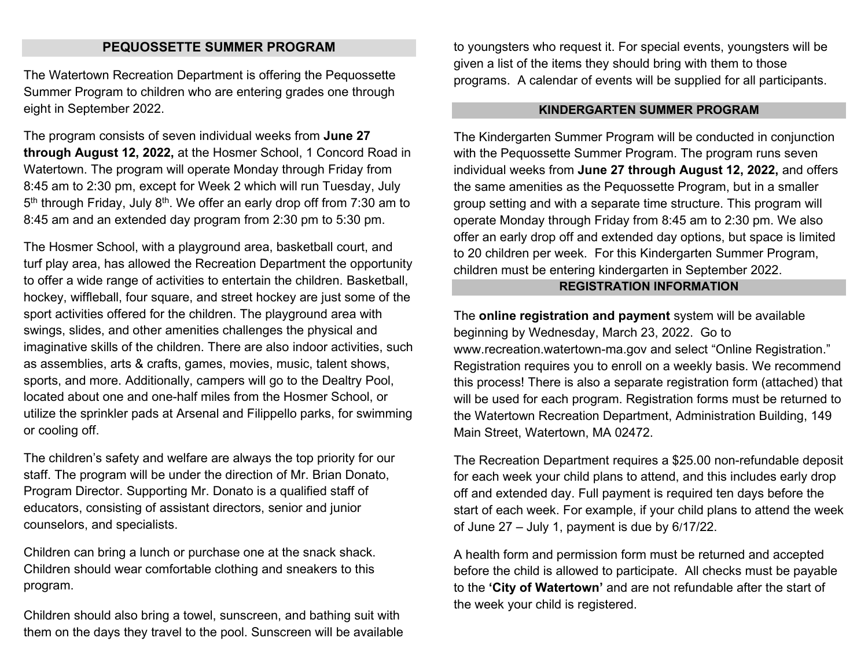## **PEQUOSSETTE SUMMER PROGRAM**

The Watertown Recreation Department is offering the Pequossette Summer Program to children who are entering grades one through eight in September 2022.

The program consists of seven individual weeks from **June 27 through August 12, 2022,** at the Hosmer School, 1 Concord Road in Watertown. The program will operate Monday through Friday from 8:45 am to 2:30 pm, except for Week 2 which will run Tuesday, July  $5<sup>th</sup>$  through Friday, July 8<sup>th</sup>. We offer an early drop off from 7:30 am to 8:45 am and an extended day program from 2:30 pm to 5:30 pm.

The Hosmer School, with a playground area, basketball court, and turf play area, has allowed the Recreation Department the opportunity to offer a wide range of activities to entertain the children. Basketball, hockey, wiffleball, four square, and street hockey are just some of the sport activities offered for the children. The playground area with swings, slides, and other amenities challenges the physical and imaginative skills of the children. There are also indoor activities, such as assemblies, arts & crafts, games, movies, music, talent shows, sports, and more. Additionally, campers will go to the Dealtry Pool, located about one and one-half miles from the Hosmer School, or utilize the sprinkler pads at Arsenal and Filippello parks, for swimming or cooling off.

The children's safety and welfare are always the top priority for our staff. The program will be under the direction of Mr. Brian Donato, Program Director. Supporting Mr. Donato is a qualified staff of educators, consisting of assistant directors, senior and junior counselors, and specialists.

Children can bring a lunch or purchase one at the snack shack. Children should wear comfortable clothing and sneakers to this program.

Children should also bring a towel, sunscreen, and bathing suit with them on the days they travel to the pool. Sunscreen will be available to youngsters who request it. For special events, youngsters will be given a list of the items they should bring with them to those programs. A calendar of events will be supplied for all participants.

#### **KINDERGARTEN SUMMER PROGRAM**

The Kindergarten Summer Program will be conducted in conjunction with the Pequossette Summer Program. The program runs seven individual weeks from **June 27 through August 12, 2022,** and offers the same amenities as the Pequossette Program, but in a smaller group setting and with a separate time structure. This program will operate Monday through Friday from 8:45 am to 2:30 pm. We also offer an early drop off and extended day options, but space is limited to 20 children per week. For this Kindergarten Summer Program, children must be entering kindergarten in September 2022.

## **REGISTRATION INFORMATION**

The **online registration and payment** system will be available beginning by Wednesday, March 23, 2022. Go to [www.recreation.watertown-ma.gov](http://www.recreation.watertown-ma.gov/) and select "Online Registration." Registration requires you to enroll on a weekly basis. We recommend this process! There is also a separate registration form (attached) that will be used for each program. Registration forms must be returned to the Watertown Recreation Department, Administration Building, 149 Main Street, Watertown, MA 02472.

The Recreation Department requires a \$25.00 non-refundable deposit for each week your child plans to attend, and this includes early drop off and extended day. Full payment is required ten days before the start of each week. For example, if your child plans to attend the week of June 27 – July 1, payment is due by 6/17/22.

A health form and permission form must be returned and accepted before the child is allowed to participate. All checks must be payable to the **'City of Watertown'** and are not refundable after the start of the week your child is registered.